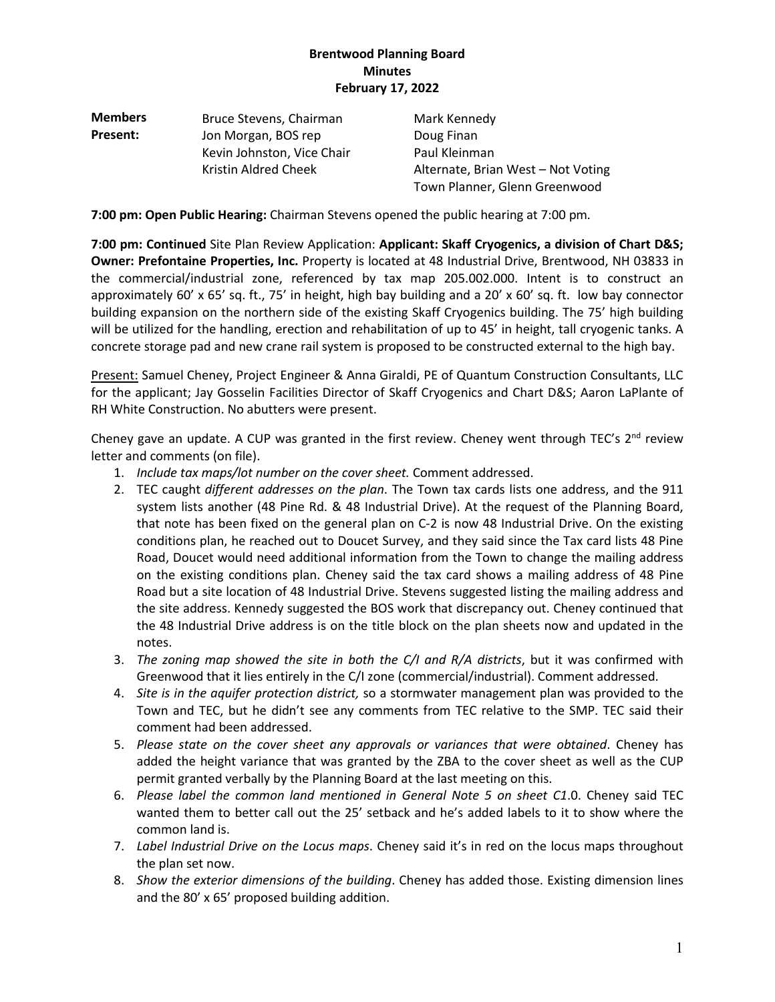| <b>Members</b> | Bruce Stevens, Chairman    | Mark Kennedy                       |
|----------------|----------------------------|------------------------------------|
| Present:       | Jon Morgan, BOS rep        | Doug Finan                         |
|                | Kevin Johnston, Vice Chair | Paul Kleinman                      |
|                | Kristin Aldred Cheek       | Alternate, Brian West - Not Voting |
|                |                            | Town Planner, Glenn Greenwood      |

**7:00 pm: Open Public Hearing:** Chairman Stevens opened the public hearing at 7:00 pm*.*

**7:00 pm: Continued** Site Plan Review Application: **Applicant: Skaff Cryogenics, a division of Chart D&S; Owner: Prefontaine Properties, Inc.** Property is located at 48 Industrial Drive, Brentwood, NH 03833 in the commercial/industrial zone, referenced by tax map 205.002.000. Intent is to construct an approximately 60' x 65' sq. ft., 75' in height, high bay building and a 20' x 60' sq. ft. low bay connector building expansion on the northern side of the existing Skaff Cryogenics building. The 75' high building will be utilized for the handling, erection and rehabilitation of up to 45' in height, tall cryogenic tanks. A concrete storage pad and new crane rail system is proposed to be constructed external to the high bay.

Present: Samuel Cheney, Project Engineer & Anna Giraldi, PE of Quantum Construction Consultants, LLC for the applicant; Jay Gosselin Facilities Director of Skaff Cryogenics and Chart D&S; Aaron LaPlante of RH White Construction. No abutters were present.

Cheney gave an update. A CUP was granted in the first review. Cheney went through TEC's  $2^{nd}$  review letter and comments (on file).

- 1. *Include tax maps/lot number on the cover sheet.* Comment addressed.
- 2. TEC caught *different addresses on the plan*. The Town tax cards lists one address, and the 911 system lists another (48 Pine Rd. & 48 Industrial Drive). At the request of the Planning Board, that note has been fixed on the general plan on C-2 is now 48 Industrial Drive. On the existing conditions plan, he reached out to Doucet Survey, and they said since the Tax card lists 48 Pine Road, Doucet would need additional information from the Town to change the mailing address on the existing conditions plan. Cheney said the tax card shows a mailing address of 48 Pine Road but a site location of 48 Industrial Drive. Stevens suggested listing the mailing address and the site address. Kennedy suggested the BOS work that discrepancy out. Cheney continued that the 48 Industrial Drive address is on the title block on the plan sheets now and updated in the notes.
- 3. *The zoning map showed the site in both the C/I and R/A districts*, but it was confirmed with Greenwood that it lies entirely in the C/I zone (commercial/industrial). Comment addressed.
- 4. *Site is in the aquifer protection district,* so a stormwater management plan was provided to the Town and TEC, but he didn't see any comments from TEC relative to the SMP. TEC said their comment had been addressed.
- 5. *Please state on the cover sheet any approvals or variances that were obtained*. Cheney has added the height variance that was granted by the ZBA to the cover sheet as well as the CUP permit granted verbally by the Planning Board at the last meeting on this.
- 6. *Please label the common land mentioned in General Note 5 on sheet C1*.0. Cheney said TEC wanted them to better call out the 25' setback and he's added labels to it to show where the common land is.
- 7. *Label Industrial Drive on the Locus maps*. Cheney said it's in red on the locus maps throughout the plan set now.
- 8. *Show the exterior dimensions of the building*. Cheney has added those. Existing dimension lines and the 80' x 65' proposed building addition.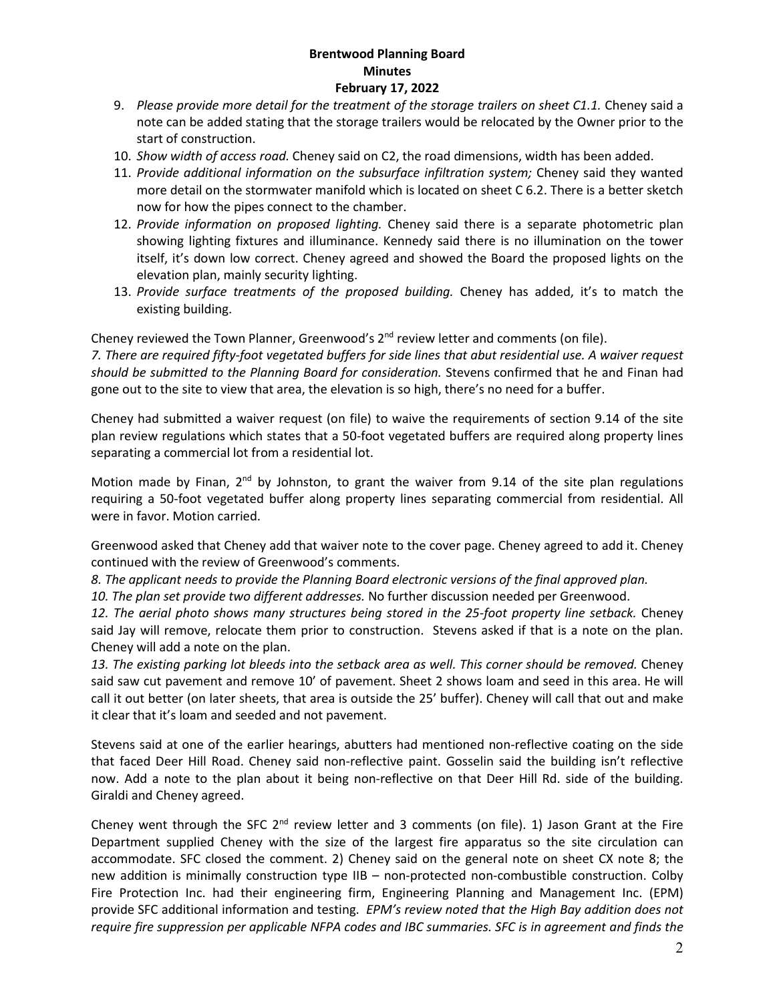- 9. *Please provide more detail for the treatment of the storage trailers on sheet C1.1.* Cheney said a note can be added stating that the storage trailers would be relocated by the Owner prior to the start of construction.
- 10. *Show width of access road.* Cheney said on C2, the road dimensions, width has been added.
- 11. *Provide additional information on the subsurface infiltration system;* Cheney said they wanted more detail on the stormwater manifold which is located on sheet C 6.2. There is a better sketch now for how the pipes connect to the chamber.
- 12. *Provide information on proposed lighting.* Cheney said there is a separate photometric plan showing lighting fixtures and illuminance. Kennedy said there is no illumination on the tower itself, it's down low correct. Cheney agreed and showed the Board the proposed lights on the elevation plan, mainly security lighting.
- 13. *Provide surface treatments of the proposed building.* Cheney has added, it's to match the existing building.

Cheney reviewed the Town Planner, Greenwood's 2<sup>nd</sup> review letter and comments (on file).

*7. There are required fifty-foot vegetated buffers for side lines that abut residential use. A waiver request should be submitted to the Planning Board for consideration.* Stevens confirmed that he and Finan had gone out to the site to view that area, the elevation is so high, there's no need for a buffer.

Cheney had submitted a waiver request (on file) to waive the requirements of section 9.14 of the site plan review regulations which states that a 50-foot vegetated buffers are required along property lines separating a commercial lot from a residential lot.

Motion made by Finan,  $2^{nd}$  by Johnston, to grant the waiver from 9.14 of the site plan regulations requiring a 50-foot vegetated buffer along property lines separating commercial from residential. All were in favor. Motion carried.

Greenwood asked that Cheney add that waiver note to the cover page. Cheney agreed to add it. Cheney continued with the review of Greenwood's comments.

*8. The applicant needs to provide the Planning Board electronic versions of the final approved plan.* 

*10. The plan set provide two different addresses.* No further discussion needed per Greenwood.

*12. The aerial photo shows many structures being stored in the 25-foot property line setback.* Cheney said Jay will remove, relocate them prior to construction. Stevens asked if that is a note on the plan. Cheney will add a note on the plan.

*13. The existing parking lot bleeds into the setback area as well. This corner should be removed.* Cheney said saw cut pavement and remove 10' of pavement. Sheet 2 shows loam and seed in this area. He will call it out better (on later sheets, that area is outside the 25' buffer). Cheney will call that out and make it clear that it's loam and seeded and not pavement.

Stevens said at one of the earlier hearings, abutters had mentioned non-reflective coating on the side that faced Deer Hill Road. Cheney said non-reflective paint. Gosselin said the building isn't reflective now. Add a note to the plan about it being non-reflective on that Deer Hill Rd. side of the building. Giraldi and Cheney agreed.

Cheney went through the SFC  $2<sup>nd</sup>$  review letter and 3 comments (on file). 1) Jason Grant at the Fire Department supplied Cheney with the size of the largest fire apparatus so the site circulation can accommodate. SFC closed the comment. 2) Cheney said on the general note on sheet CX note 8; the new addition is minimally construction type IIB – non-protected non-combustible construction. Colby Fire Protection Inc. had their engineering firm, Engineering Planning and Management Inc. (EPM) provide SFC additional information and testing. *EPM's review noted that the High Bay addition does not require fire suppression per applicable NFPA codes and IBC summaries. SFC is in agreement and finds the*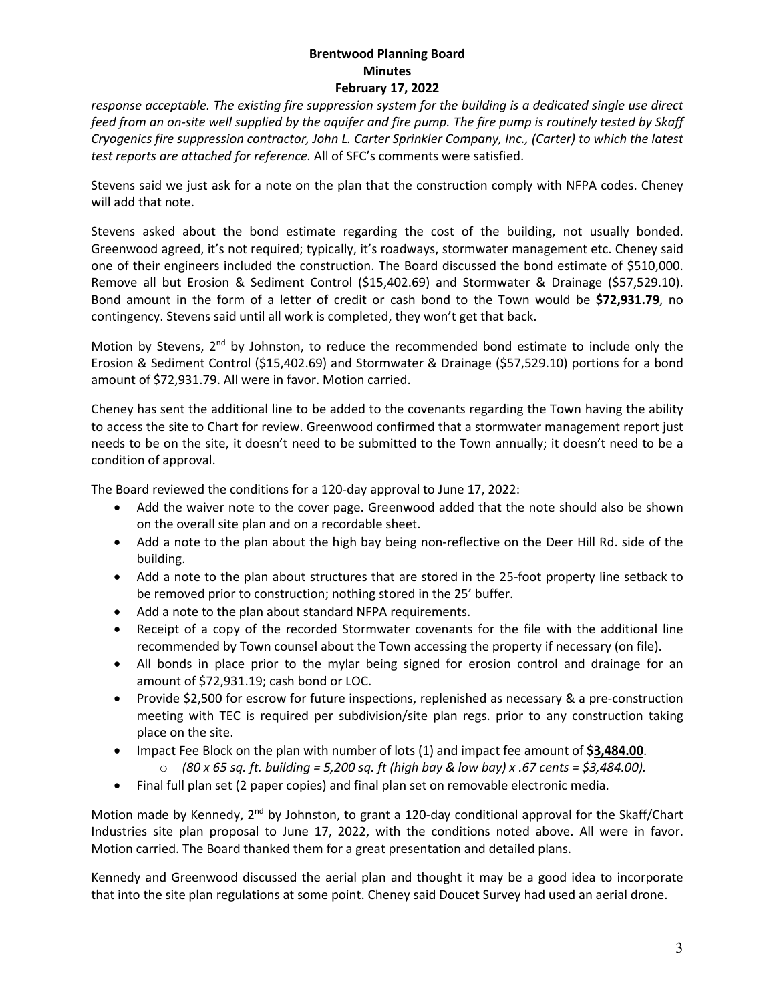*response acceptable. The existing fire suppression system for the building is a dedicated single use direct feed from an on-site well supplied by the aquifer and fire pump. The fire pump is routinely tested by Skaff Cryogenics fire suppression contractor, John L. Carter Sprinkler Company, Inc., (Carter) to which the latest test reports are attached for reference.* All of SFC's comments were satisfied.

Stevens said we just ask for a note on the plan that the construction comply with NFPA codes. Cheney will add that note.

Stevens asked about the bond estimate regarding the cost of the building, not usually bonded. Greenwood agreed, it's not required; typically, it's roadways, stormwater management etc. Cheney said one of their engineers included the construction. The Board discussed the bond estimate of \$510,000. Remove all but Erosion & Sediment Control (\$15,402.69) and Stormwater & Drainage (\$57,529.10). Bond amount in the form of a letter of credit or cash bond to the Town would be **\$72,931.79**, no contingency. Stevens said until all work is completed, they won't get that back.

Motion by Stevens, 2<sup>nd</sup> by Johnston, to reduce the recommended bond estimate to include only the Erosion & Sediment Control (\$15,402.69) and Stormwater & Drainage (\$57,529.10) portions for a bond amount of \$72,931.79. All were in favor. Motion carried.

Cheney has sent the additional line to be added to the covenants regarding the Town having the ability to access the site to Chart for review. Greenwood confirmed that a stormwater management report just needs to be on the site, it doesn't need to be submitted to the Town annually; it doesn't need to be a condition of approval.

The Board reviewed the conditions for a 120-day approval to June 17, 2022:

- Add the waiver note to the cover page. Greenwood added that the note should also be shown on the overall site plan and on a recordable sheet.
- Add a note to the plan about the high bay being non-reflective on the Deer Hill Rd. side of the building.
- Add a note to the plan about structures that are stored in the 25-foot property line setback to be removed prior to construction; nothing stored in the 25' buffer.
- Add a note to the plan about standard NFPA requirements.
- Receipt of a copy of the recorded Stormwater covenants for the file with the additional line recommended by Town counsel about the Town accessing the property if necessary (on file).
- All bonds in place prior to the mylar being signed for erosion control and drainage for an amount of \$72,931.19; cash bond or LOC.
- Provide \$2,500 for escrow for future inspections, replenished as necessary & a pre-construction meeting with TEC is required per subdivision/site plan regs. prior to any construction taking place on the site.
- **IMPACT FREE Block on the plan with number of lots (1) and impact fee amount of \$3,484.00.** 
	- o *(80 x 65 sq. ft. building = 5,200 sq. ft (high bay & low bay) x .67 cents = \$3,484.00).*
- Final full plan set (2 paper copies) and final plan set on removable electronic media.

Motion made by Kennedy, 2<sup>nd</sup> by Johnston, to grant a 120-day conditional approval for the Skaff/Chart Industries site plan proposal to June 17, 2022, with the conditions noted above. All were in favor. Motion carried. The Board thanked them for a great presentation and detailed plans.

Kennedy and Greenwood discussed the aerial plan and thought it may be a good idea to incorporate that into the site plan regulations at some point. Cheney said Doucet Survey had used an aerial drone.